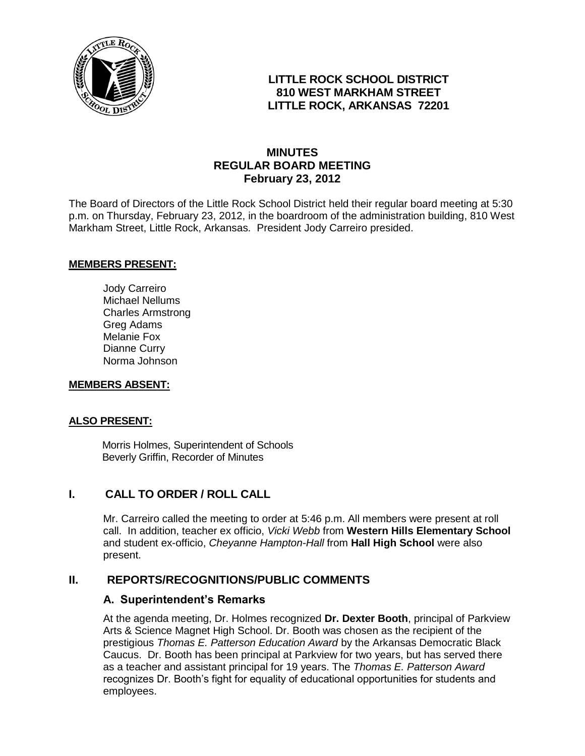

### **LITTLE ROCK SCHOOL DISTRICT 810 WEST MARKHAM STREET LITTLE ROCK, ARKANSAS 72201**

## **MINUTES REGULAR BOARD MEETING February 23, 2012**

The Board of Directors of the Little Rock School District held their regular board meeting at 5:30 p.m. on Thursday, February 23, 2012, in the boardroom of the administration building, 810 West Markham Street, Little Rock, Arkansas. President Jody Carreiro presided.

#### **MEMBERS PRESENT:**

Jody Carreiro Michael Nellums Charles Armstrong Greg Adams Melanie Fox Dianne Curry Norma Johnson

#### **MEMBERS ABSENT:**

#### **ALSO PRESENT:**

 Morris Holmes, Superintendent of Schools Beverly Griffin, Recorder of Minutes

### **I. CALL TO ORDER / ROLL CALL**

Mr. Carreiro called the meeting to order at 5:46 p.m. All members were present at roll call. In addition, teacher ex officio, *Vicki Webb* from **Western Hills Elementary School** and student ex-officio, *Cheyanne Hampton-Hall* from **Hall High School** were also present.

### **II. REPORTS/RECOGNITIONS/PUBLIC COMMENTS**

#### **A. Superintendent's Remarks**

At the agenda meeting, Dr. Holmes recognized **Dr. Dexter Booth**, principal of Parkview Arts & Science Magnet High School. Dr. Booth was chosen as the recipient of the prestigious *Thomas E. Patterson Education Award* by the Arkansas Democratic Black Caucus. Dr. Booth has been principal at Parkview for two years, but has served there as a teacher and assistant principal for 19 years. The *Thomas E. Patterson Award* recognizes Dr. Booth's fight for equality of educational opportunities for students and employees.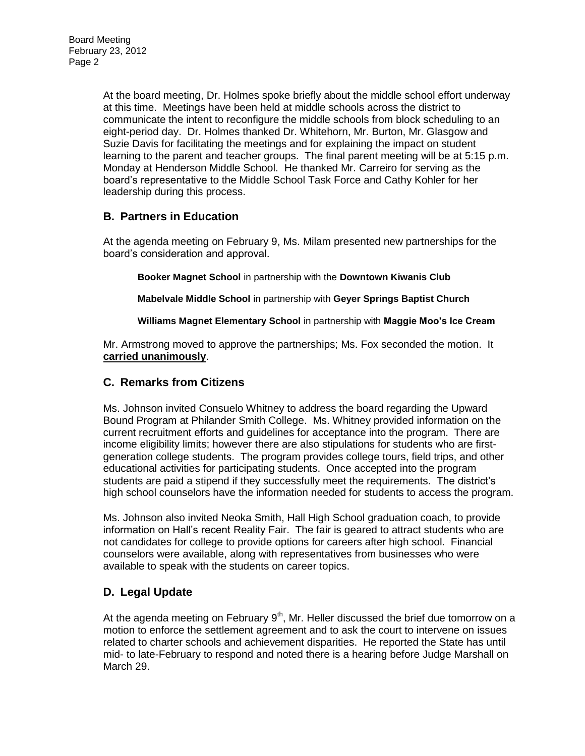At the board meeting, Dr. Holmes spoke briefly about the middle school effort underway at this time. Meetings have been held at middle schools across the district to communicate the intent to reconfigure the middle schools from block scheduling to an eight-period day. Dr. Holmes thanked Dr. Whitehorn, Mr. Burton, Mr. Glasgow and Suzie Davis for facilitating the meetings and for explaining the impact on student learning to the parent and teacher groups. The final parent meeting will be at 5:15 p.m. Monday at Henderson Middle School. He thanked Mr. Carreiro for serving as the board's representative to the Middle School Task Force and Cathy Kohler for her leadership during this process.

# **B. Partners in Education**

At the agenda meeting on February 9, Ms. Milam presented new partnerships for the board's consideration and approval.

**Booker Magnet School** in partnership with the **Downtown Kiwanis Club**

**Mabelvale Middle School** in partnership with **Geyer Springs Baptist Church**

**Williams Magnet Elementary School** in partnership with **Maggie Moo's Ice Cream**

Mr. Armstrong moved to approve the partnerships; Ms. Fox seconded the motion. It **carried unanimously**.

### **C. Remarks from Citizens**

Ms. Johnson invited Consuelo Whitney to address the board regarding the Upward Bound Program at Philander Smith College. Ms. Whitney provided information on the current recruitment efforts and guidelines for acceptance into the program. There are income eligibility limits; however there are also stipulations for students who are firstgeneration college students. The program provides college tours, field trips, and other educational activities for participating students. Once accepted into the program students are paid a stipend if they successfully meet the requirements. The district's high school counselors have the information needed for students to access the program.

Ms. Johnson also invited Neoka Smith, Hall High School graduation coach, to provide information on Hall's recent Reality Fair. The fair is geared to attract students who are not candidates for college to provide options for careers after high school. Financial counselors were available, along with representatives from businesses who were available to speak with the students on career topics.

# **D. Legal Update**

At the agenda meeting on February  $9<sup>th</sup>$ , Mr. Heller discussed the brief due tomorrow on a motion to enforce the settlement agreement and to ask the court to intervene on issues related to charter schools and achievement disparities. He reported the State has until mid- to late-February to respond and noted there is a hearing before Judge Marshall on March 29.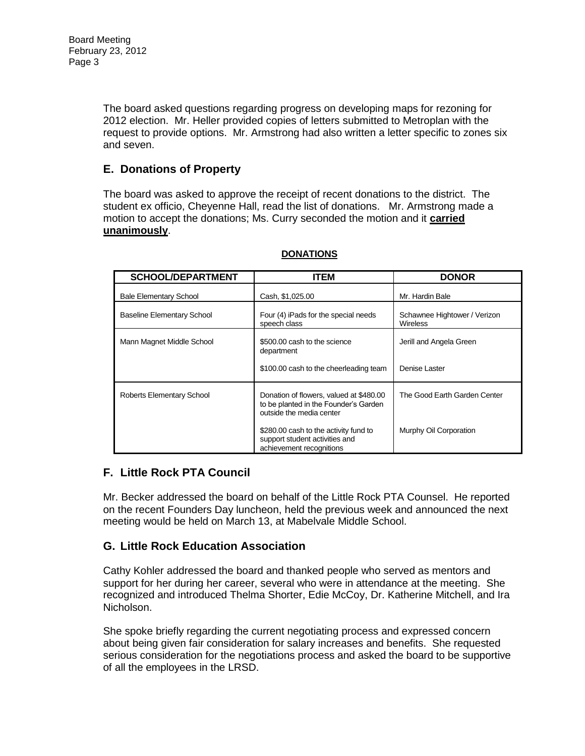The board asked questions regarding progress on developing maps for rezoning for 2012 election. Mr. Heller provided copies of letters submitted to Metroplan with the request to provide options. Mr. Armstrong had also written a letter specific to zones six and seven.

# **E. Donations of Property**

The board was asked to approve the receipt of recent donations to the district. The student ex officio, Cheyenne Hall, read the list of donations. Mr. Armstrong made a motion to accept the donations; Ms. Curry seconded the motion and it **carried unanimously**.

| <b>SCHOOL/DEPARTMENT</b>          | ITEM                                                                                                         | <b>DONOR</b>                                    |
|-----------------------------------|--------------------------------------------------------------------------------------------------------------|-------------------------------------------------|
| <b>Bale Elementary School</b>     | Cash, \$1,025.00                                                                                             | Mr. Hardin Bale                                 |
| <b>Baseline Elementary School</b> | Four (4) iPads for the special needs<br>speech class                                                         | Schawnee Hightower / Verizon<br><b>Wireless</b> |
| Mann Magnet Middle School         | \$500.00 cash to the science<br>department                                                                   | Jerill and Angela Green                         |
|                                   | \$100.00 cash to the cheerleading team                                                                       | Denise Laster                                   |
| Roberts Elementary School         | Donation of flowers, valued at \$480.00<br>to be planted in the Founder's Garden<br>outside the media center | The Good Earth Garden Center                    |
|                                   | \$280.00 cash to the activity fund to<br>support student activities and<br>achievement recognitions          | Murphy Oil Corporation                          |

#### **DONATIONS**

# **F. Little Rock PTA Council**

Mr. Becker addressed the board on behalf of the Little Rock PTA Counsel. He reported on the recent Founders Day luncheon, held the previous week and announced the next meeting would be held on March 13, at Mabelvale Middle School.

# **G. Little Rock Education Association**

Cathy Kohler addressed the board and thanked people who served as mentors and support for her during her career, several who were in attendance at the meeting. She recognized and introduced Thelma Shorter, Edie McCoy, Dr. Katherine Mitchell, and Ira Nicholson.

She spoke briefly regarding the current negotiating process and expressed concern about being given fair consideration for salary increases and benefits. She requested serious consideration for the negotiations process and asked the board to be supportive of all the employees in the LRSD.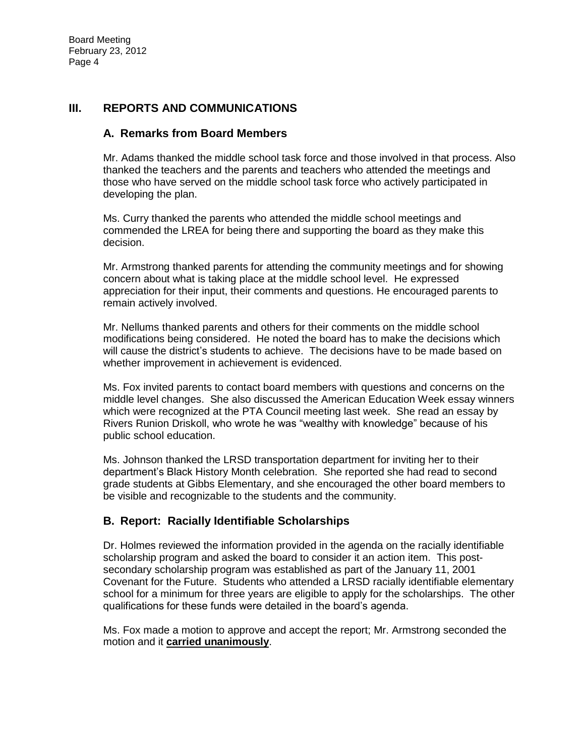### **III. REPORTS AND COMMUNICATIONS**

### **A. Remarks from Board Members**

Mr. Adams thanked the middle school task force and those involved in that process. Also thanked the teachers and the parents and teachers who attended the meetings and those who have served on the middle school task force who actively participated in developing the plan.

Ms. Curry thanked the parents who attended the middle school meetings and commended the LREA for being there and supporting the board as they make this decision.

Mr. Armstrong thanked parents for attending the community meetings and for showing concern about what is taking place at the middle school level. He expressed appreciation for their input, their comments and questions. He encouraged parents to remain actively involved.

Mr. Nellums thanked parents and others for their comments on the middle school modifications being considered. He noted the board has to make the decisions which will cause the district's students to achieve. The decisions have to be made based on whether improvement in achievement is evidenced.

Ms. Fox invited parents to contact board members with questions and concerns on the middle level changes. She also discussed the American Education Week essay winners which were recognized at the PTA Council meeting last week. She read an essay by Rivers Runion Driskoll, who wrote he was "wealthy with knowledge" because of his public school education.

Ms. Johnson thanked the LRSD transportation department for inviting her to their department's Black History Month celebration. She reported she had read to second grade students at Gibbs Elementary, and she encouraged the other board members to be visible and recognizable to the students and the community.

### **B. Report: Racially Identifiable Scholarships**

Dr. Holmes reviewed the information provided in the agenda on the racially identifiable scholarship program and asked the board to consider it an action item. This postsecondary scholarship program was established as part of the January 11, 2001 Covenant for the Future. Students who attended a LRSD racially identifiable elementary school for a minimum for three years are eligible to apply for the scholarships. The other qualifications for these funds were detailed in the board's agenda.

Ms. Fox made a motion to approve and accept the report; Mr. Armstrong seconded the motion and it **carried unanimously**.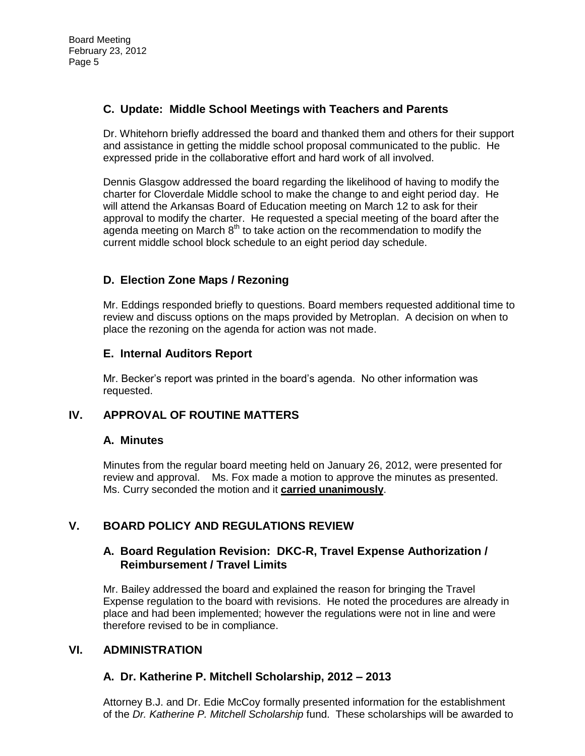## **C. Update: Middle School Meetings with Teachers and Parents**

Dr. Whitehorn briefly addressed the board and thanked them and others for their support and assistance in getting the middle school proposal communicated to the public. He expressed pride in the collaborative effort and hard work of all involved.

Dennis Glasgow addressed the board regarding the likelihood of having to modify the charter for Cloverdale Middle school to make the change to and eight period day. He will attend the Arkansas Board of Education meeting on March 12 to ask for their approval to modify the charter. He requested a special meeting of the board after the agenda meeting on March  $8<sup>th</sup>$  to take action on the recommendation to modify the current middle school block schedule to an eight period day schedule.

# **D. Election Zone Maps / Rezoning**

Mr. Eddings responded briefly to questions. Board members requested additional time to review and discuss options on the maps provided by Metroplan. A decision on when to place the rezoning on the agenda for action was not made.

## **E. Internal Auditors Report**

Mr. Becker's report was printed in the board's agenda. No other information was requested.

### **IV. APPROVAL OF ROUTINE MATTERS**

### **A. Minutes**

Minutes from the regular board meeting held on January 26, 2012, were presented for review and approval. Ms. Fox made a motion to approve the minutes as presented. Ms. Curry seconded the motion and it **carried unanimously**.

# **V. BOARD POLICY AND REGULATIONS REVIEW**

#### **A. Board Regulation Revision: DKC-R, Travel Expense Authorization / Reimbursement / Travel Limits**

Mr. Bailey addressed the board and explained the reason for bringing the Travel Expense regulation to the board with revisions. He noted the procedures are already in place and had been implemented; however the regulations were not in line and were therefore revised to be in compliance.

### **VI. ADMINISTRATION**

### **A. Dr. Katherine P. Mitchell Scholarship, 2012 – 2013**

Attorney B.J. and Dr. Edie McCoy formally presented information for the establishment of the *Dr. Katherine P. Mitchell Scholarship* fund. These scholarships will be awarded to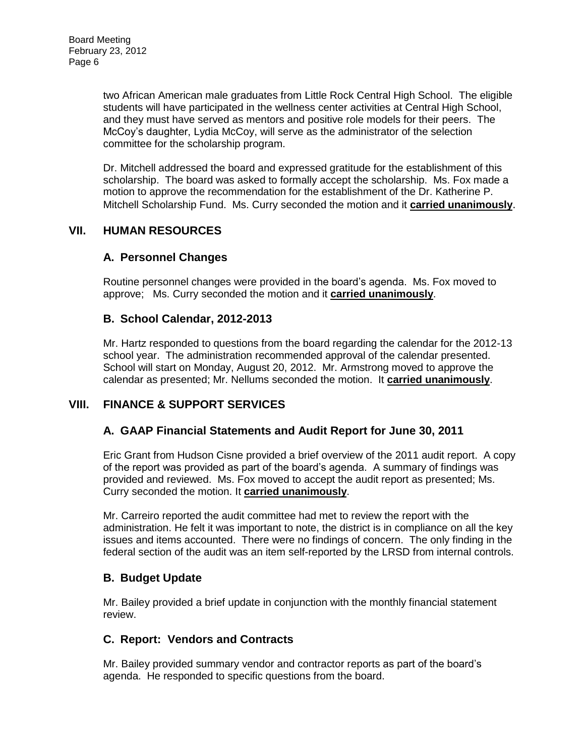two African American male graduates from Little Rock Central High School. The eligible students will have participated in the wellness center activities at Central High School, and they must have served as mentors and positive role models for their peers. The McCoy's daughter, Lydia McCoy, will serve as the administrator of the selection committee for the scholarship program.

Dr. Mitchell addressed the board and expressed gratitude for the establishment of this scholarship. The board was asked to formally accept the scholarship. Ms. Fox made a motion to approve the recommendation for the establishment of the Dr. Katherine P. Mitchell Scholarship Fund. Ms. Curry seconded the motion and it **carried unanimously**.

## **VII. HUMAN RESOURCES**

### **A. Personnel Changes**

Routine personnel changes were provided in the board's agenda. Ms. Fox moved to approve; Ms. Curry seconded the motion and it **carried unanimously**.

#### **B. School Calendar, 2012-2013**

Mr. Hartz responded to questions from the board regarding the calendar for the 2012-13 school year. The administration recommended approval of the calendar presented. School will start on Monday, August 20, 2012. Mr. Armstrong moved to approve the calendar as presented; Mr. Nellums seconded the motion. It **carried unanimously**.

### **VIII. FINANCE & SUPPORT SERVICES**

### **A. GAAP Financial Statements and Audit Report for June 30, 2011**

Eric Grant from Hudson Cisne provided a brief overview of the 2011 audit report. A copy of the report was provided as part of the board's agenda. A summary of findings was provided and reviewed. Ms. Fox moved to accept the audit report as presented; Ms. Curry seconded the motion. It **carried unanimously**.

Mr. Carreiro reported the audit committee had met to review the report with the administration. He felt it was important to note, the district is in compliance on all the key issues and items accounted. There were no findings of concern. The only finding in the federal section of the audit was an item self-reported by the LRSD from internal controls.

### **B. Budget Update**

Mr. Bailey provided a brief update in conjunction with the monthly financial statement review.

### **C. Report: Vendors and Contracts**

Mr. Bailey provided summary vendor and contractor reports as part of the board's agenda. He responded to specific questions from the board.